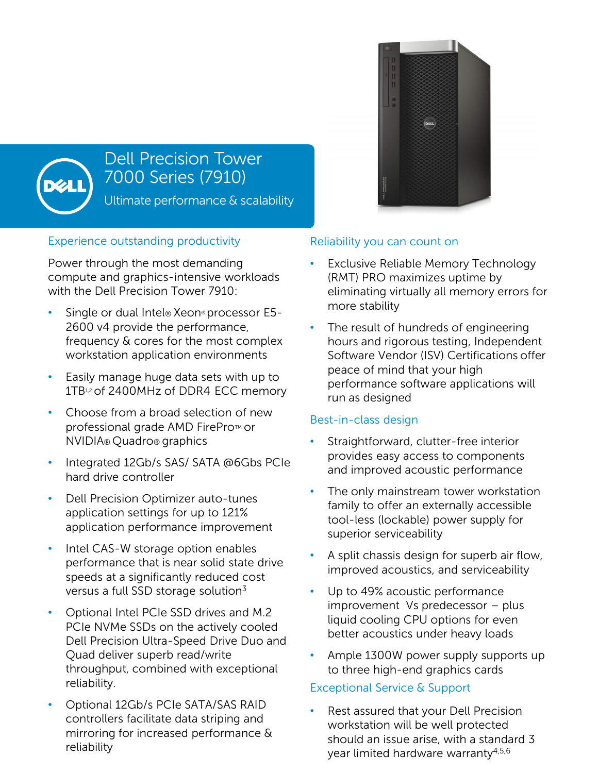

## Dell Precision Tower 7000 Series (7910)

Ultimate performance & scalability

## Experience outstanding productivity

Power through the most demanding compute and graphics-intensive workloads with the Dell Precision Tower 7910:

- Single or dual Intel® Xeon® processor E5- 2600 v4 provide the performance, frequency & cores for the most complex workstation application environments
- Easily manage huge data sets with up to 1TB12 of 2400MHz of DDR4 ECC memory
- Choose from a broad selection of new professional grade AMD FirePro™ or NVIDIA® Quadro® graphics
- Integrated 12Gb/s SAS/ SATA @6Gbs PCIe hard drive controller
- Dell Precision Optimizer auto-tunes application settings for up to 121% application performance improvement
- Intel CAS-W storage option enables performance that is near solid state drive speeds at a significantly reduced cost versus a full SSD storage solution<sup>3</sup>
- Optional Intel PCIe SSD drives and M.2 PCIe NVMe SSDs on the actively cooled Dell Precision Ultra-Speed Drive Duo and Quad deliver superb read/write throughput, combined with exceptional reliability.
- Optional 12Gb/s PCIe SATA/SAS RAID controllers facilitate data striping and mirroring for increased performance & reliability



- **Exclusive Reliable Memory Technology** (RMT) PRO maximizes uptime by eliminating virtually all memory errors for more stability
- The result of hundreds of engineering hours and rigorous testing, Independent Software Vendor (ISV) Certifications offer peace of mind that your high performance software applications will run as designed

## Best-in-class design

- Straightforward, clutter-free interior provides easy access to components and improved acoustic performance
- The only mainstream tower workstation family to offer an externally accessible tool-less (lockable) power supply for superior serviceability
- A split chassis design for superb air flow, improved acoustics, and serviceability
- Up to 49% acoustic performance improvement Vs predecessor – plus liquid cooling CPU options for even better acoustics under heavy loads
- Ample 1300W power supply supports up to three high-end graphics cards

## Exceptional Service & Support

• Rest assured that your Dell Precision workstation will be well protected should an issue arise, with a standard 3 year limited hardware warranty4,5,6